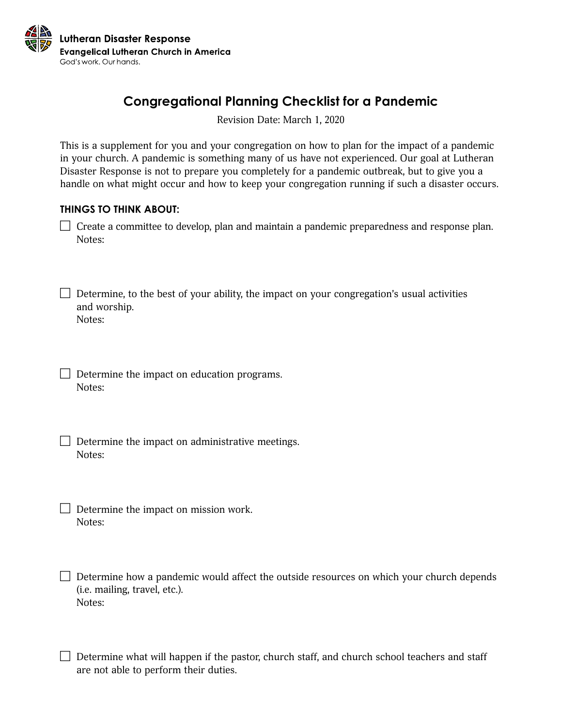

# **Congregational Planning Checklist for a Pandemic**

Revision Date: March 1, 2020

This is a supplement for you and your congregation on how to plan for the impact of a pandemic in your church. A pandemic is something many of us have not experienced. Our goal at Lutheran Disaster Response is not to prepare you completely for a pandemic outbreak, but to give you a handle on what might occur and how to keep your congregation running if such a disaster occurs.

#### **THINGS TO THINK ABOUT:**

 $\Box$  Create a committee to develop, plan and maintain a pandemic preparedness and response plan. Notes:

 $\Box$  Determine, to the best of your ability, the impact on your congregation's usual activities and worship. Notes:

 $\Box$  Determine the impact on education programs. Notes:

 $\Box$  Determine the impact on administrative meetings. Notes:

 $\Box$  Determine the impact on mission work. Notes:

 $\Box$  Determine how a pandemic would affect the outside resources on which your church depends (i.e. mailing, travel, etc.). Notes:

Determine what will happen if the pastor, church staff, and church school teachers and staff are not able to perform their duties.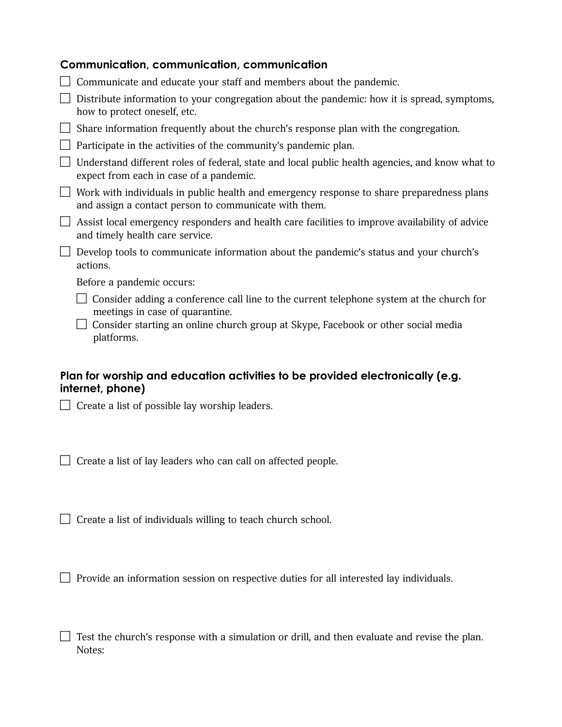| <b>Communication, communication, communication</b>                                                                                                                                                               |
|------------------------------------------------------------------------------------------------------------------------------------------------------------------------------------------------------------------|
| Communicate and educate your staff and members about the pandemic.                                                                                                                                               |
| Distribute information to your congregation about the pandemic: how it is spread, symptoms,<br>how to protect oneself, etc.                                                                                      |
| Share information frequently about the church's response plan with the congregation.                                                                                                                             |
| Participate in the activities of the community's pandemic plan.                                                                                                                                                  |
| Understand different roles of federal, state and local public health agencies, and know what to<br>expect from each in case of a pandemic.                                                                       |
| Work with individuals in public health and emergency response to share preparedness plans<br>and assign a contact person to communicate with them.                                                               |
| Assist local emergency responders and health care facilities to improve availability of advice<br>and timely health care service.                                                                                |
| Develop tools to communicate information about the pandemic's status and your church's<br>actions.                                                                                                               |
| Before a pandemic occurs:                                                                                                                                                                                        |
| Consider adding a conference call line to the current telephone system at the church for<br>meetings in case of quarantine.<br>Consider starting an online church group at Skype, Facebook or other social media |
| platforms.                                                                                                                                                                                                       |

### **Plan for worship and education activities to be provided electronically (e.g. internet, phone)**

Create a list of possible lay worship leaders.

Create a list of lay leaders who can call on affected people.

 $\Box$  Create a list of individuals willing to teach church school.

 $\Box$  Provide an information session on respective duties for all interested lay individuals.

 $\Box$  Test the church's response with a simulation or drill, and then evaluate and revise the plan. Notes: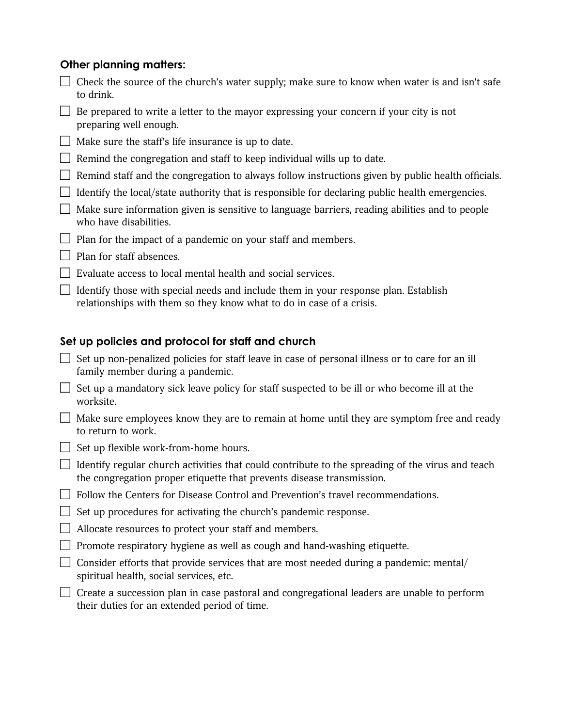## **Other planning matters:**

their duties for an extended period of time.

| Check the source of the church's water supply; make sure to know when water is and isn't safe<br>to drink.                                                                |
|---------------------------------------------------------------------------------------------------------------------------------------------------------------------------|
| Be prepared to write a letter to the mayor expressing your concern if your city is not<br>preparing well enough.                                                          |
| Make sure the staff's life insurance is up to date.                                                                                                                       |
| Remind the congregation and staff to keep individual wills up to date.                                                                                                    |
| Remind staff and the congregation to always follow instructions given by public health officials.                                                                         |
| Identify the local/state authority that is responsible for declaring public health emergencies.                                                                           |
| Make sure information given is sensitive to language barriers, reading abilities and to people<br>who have disabilities.                                                  |
| Plan for the impact of a pandemic on your staff and members.                                                                                                              |
| Plan for staff absences.                                                                                                                                                  |
| Evaluate access to local mental health and social services.                                                                                                               |
| Identify those with special needs and include them in your response plan. Establish<br>relationships with them so they know what to do in case of a crisis.               |
|                                                                                                                                                                           |
|                                                                                                                                                                           |
| Set up policies and protocol for staff and church                                                                                                                         |
| Set up non-penalized policies for staff leave in case of personal illness or to care for an ill<br>family member during a pandemic.                                       |
| Set up a mandatory sick leave policy for staff suspected to be ill or who become ill at the<br>worksite.                                                                  |
| Make sure employees know they are to remain at home until they are symptom free and ready<br>to return to work.                                                           |
| Set up flexible work-from-home hours.                                                                                                                                     |
| Identify regular church activities that could contribute to the spreading of the virus and teach<br>the congregation proper etiquette that prevents disease transmission. |
| Follow the Centers for Disease Control and Prevention's travel recommendations.                                                                                           |
| Set up procedures for activating the church's pandemic response.                                                                                                          |
| Allocate resources to protect your staff and members.                                                                                                                     |
| Promote respiratory hygiene as well as cough and hand-washing etiquette.                                                                                                  |
| Consider efforts that provide services that are most needed during a pandemic: mental/<br>spiritual health, social services, etc.                                         |